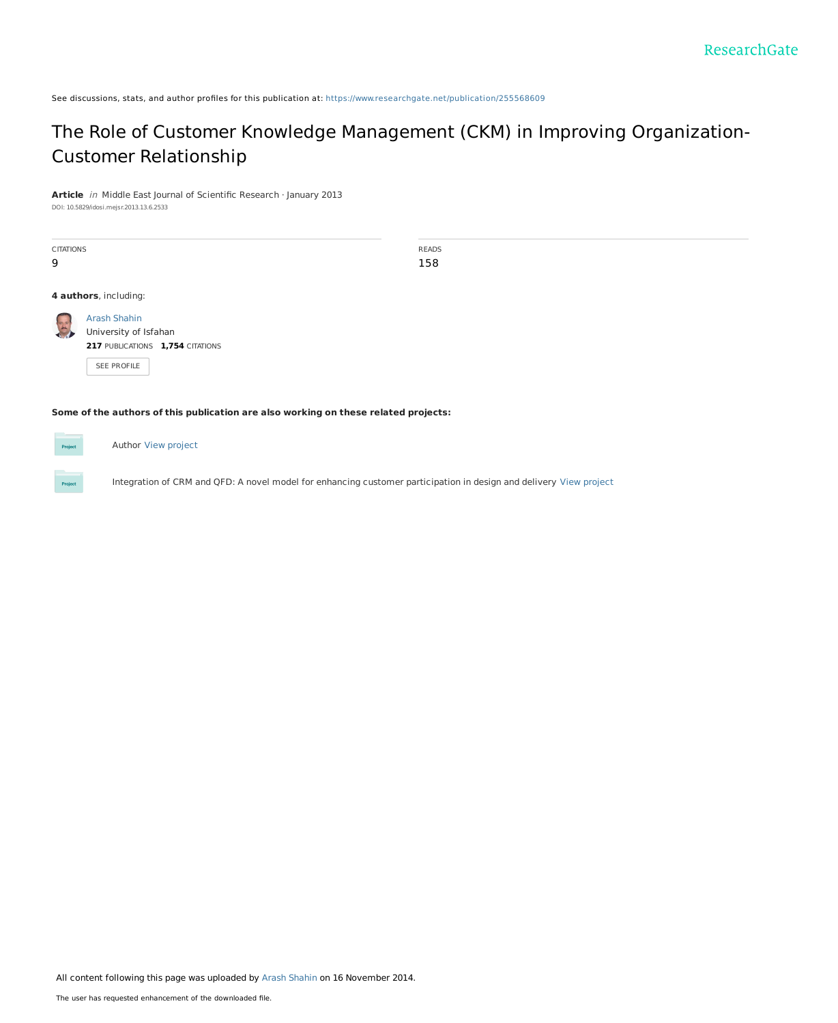See discussions, stats, and author profiles for this publication at: [https://www.researchgate.net/publication/255568609](https://www.researchgate.net/publication/255568609_The_Role_of_Customer_Knowledge_Management_CKM_in_Improving_Organization-Customer_Relationship?enrichId=rgreq-5376a57194005e8af898a624f474ce78-XXX&enrichSource=Y292ZXJQYWdlOzI1NTU2ODYwOTtBUzoxNjQyNjc0MDc5Nzg0OTdAMTQxNjE3NTgxMDQ1NQ%3D%3D&el=1_x_2&_esc=publicationCoverPdf)

# The Role of Customer Knowledge Management (CKM) in Improving [Organization-](https://www.researchgate.net/publication/255568609_The_Role_of_Customer_Knowledge_Management_CKM_in_Improving_Organization-Customer_Relationship?enrichId=rgreq-5376a57194005e8af898a624f474ce78-XXX&enrichSource=Y292ZXJQYWdlOzI1NTU2ODYwOTtBUzoxNjQyNjc0MDc5Nzg0OTdAMTQxNjE3NTgxMDQ1NQ%3D%3D&el=1_x_3&_esc=publicationCoverPdf)Customer Relationship

**Article** in Middle East Journal of Scientific Research · January 2013

DOI: 10.5829/idosi.mejsr.2013.13.6.2533

| <b>CITATIONS</b> |                                  | <b>READS</b> |
|------------------|----------------------------------|--------------|
|                  |                                  |              |
| 9                |                                  | 158          |
|                  |                                  |              |
|                  | 4 authors, including:            |              |
|                  |                                  |              |
| 25               | <b>Arash Shahin</b>              |              |
|                  | University of Isfahan            |              |
|                  | 217 PUBLICATIONS 1,754 CITATIONS |              |
|                  |                                  |              |
|                  | SEE PROFILE                      |              |
|                  |                                  |              |

**Some of the authors of this publication are also working on these related projects:**

Author View [project](https://www.researchgate.net/project/Author-34?enrichId=rgreq-5376a57194005e8af898a624f474ce78-XXX&enrichSource=Y292ZXJQYWdlOzI1NTU2ODYwOTtBUzoxNjQyNjc0MDc5Nzg0OTdAMTQxNjE3NTgxMDQ1NQ%3D%3D&el=1_x_9&_esc=publicationCoverPdf)

Integration of CRM and QFD: A novel model for enhancing customer participation in design and delivery View [project](https://www.researchgate.net/project/Integration-of-CRM-and-QFD-A-novel-model-for-enhancing-customer-participation-in-design-and-delivery?enrichId=rgreq-5376a57194005e8af898a624f474ce78-XXX&enrichSource=Y292ZXJQYWdlOzI1NTU2ODYwOTtBUzoxNjQyNjc0MDc5Nzg0OTdAMTQxNjE3NTgxMDQ1NQ%3D%3D&el=1_x_9&_esc=publicationCoverPdf)

All content following this page was uploaded by Arash [Shahin](https://www.researchgate.net/profile/Arash_Shahin?enrichId=rgreq-5376a57194005e8af898a624f474ce78-XXX&enrichSource=Y292ZXJQYWdlOzI1NTU2ODYwOTtBUzoxNjQyNjc0MDc5Nzg0OTdAMTQxNjE3NTgxMDQ1NQ%3D%3D&el=1_x_10&_esc=publicationCoverPdf) on 16 November 2014.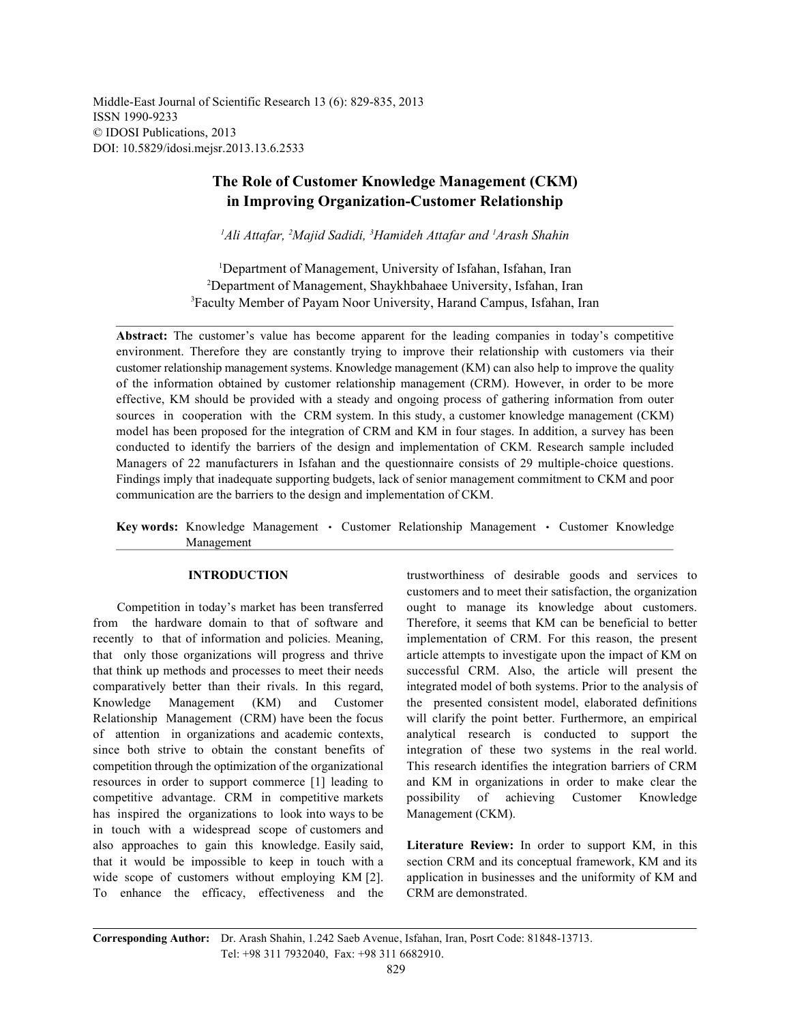Middle-East Journal of Scientific Research 13 (6): 829-835, 2013 ISSN 1990-9233 © IDOSI Publications, 2013 DOI: 10.5829/idosi.mejsr.2013.13.6.2533

## **The Role of Customer Knowledge Management (CKM) in Improving Organization-Customer Relationship**

<sup>1</sup>Ali Attafar, <sup>2</sup>Majid Sadidi, <sup>3</sup>Hamideh Attafar and <sup>1</sup>Arash Shahin

<sup>1</sup>Department of Management, University of Isfahan, Isfahan, Iran <sup>2</sup>Department of Management, Shaykhbahaee University, Isfahan, Iran <sup>3</sup>Faculty Member of Payam Noor University, Harand Campus, Isfahan, Iran

**Abstract:** The customer's value has become apparent for the leading companies in today's competitive environment. Therefore they are constantly trying to improve their relationship with customers via their customer relationship management systems. Knowledge management (KM) can also help to improve the quality of the information obtained by customer relationship management (CRM). However, in order to be more effective, KM should be provided with a steady and ongoing process of gathering information from outer sources in cooperation with the CRM system. In this study, a customer knowledge management (CKM) model has been proposed for the integration of CRM and KM in four stages. In addition, a survey has been conducted to identify the barriers of the design and implementation of CKM. Research sample included Managers of 22 manufacturers in Isfahan and the questionnaire consists of 29 multiple-choice questions. Findings imply that inadequate supporting budgets, lack of senior management commitment to CKM and poor communication are the barriers to the design and implementation of CKM.

Key words: Knowledge Management · Customer Relationship Management · Customer Knowledge Management

from the hardware domain to that of software and Therefore, it seems that KM can be beneficial to better recently to that of information and policies. Meaning, implementation of CRM. For this reason, the present that only those organizations will progress and thrive article attempts to investigate upon the impact of KM on that think up methods and processes to meet their needs successful CRM. Also, the article will present the comparatively better than their rivals. In this regard, integrated model of both systems. Prior to the analysis of Knowledge Management (KM) and Customer the presented consistent model, elaborated definitions Relationship Management (CRM) have been the focus will clarify the point better. Furthermore, an empirical of attention in organizations and academic contexts, analytical research is conducted to support the since both strive to obtain the constant benefits of integration of these two systems in the real world. competition through the optimization of the organizational This research identifies the integration barriers of CRM resources in order to support commerce [1] leading to and KM in organizations in order to make clear the competitive advantage. CRM in competitive markets possibility of achieving Customer Knowledge has inspired the organizations to look into ways to be Management (CKM). in touch with a widespread scope of customers and also approaches to gain this knowledge. Easily said, **Literature Review:** In order to support KM, in this that it would be impossible to keep in touch with a section CRM and its conceptual framework, KM and its wide scope of customers without employing KM [2]. application in businesses and the uniformity of KM and To enhance the efficacy, effectiveness and the CRM are demonstrated.

**INTRODUCTION** trustworthiness of desirable goods and services to Competition in today's market has been transferred ought to manage its knowledge about customers. customers and to meet their satisfaction, the organization

**Corresponding Author:** Dr. Arash Shahin, 1.242 Saeb Avenue, Isfahan, Iran, Posrt Code: 81848-13713. Tel: +98 311 7932040, Fax: +98 311 6682910.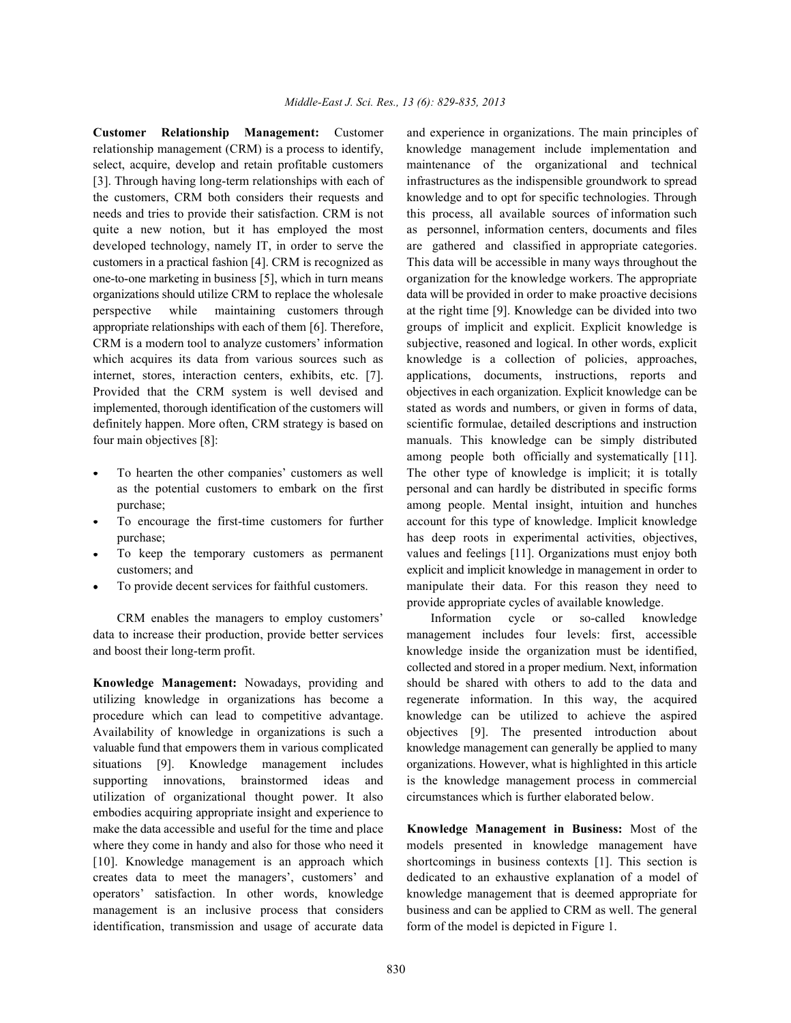relationship management (CRM) is a process to identify, knowledge management include implementation and select, acquire, develop and retain profitable customers maintenance of the organizational and technical [3]. Through having long-term relationships with each of infrastructures as the indispensible groundwork to spread the customers, CRM both considers their requests and knowledge and to opt for specific technologies. Through quite a new notion, but it has employed the most as personnel, information centers, documents and files developed technology, namely IT, in order to serve the are gathered and classified in appropriate categories. customers in a practical fashion [4]. CRM is recognized as This data will be accessible in many ways throughout the organizations should utilize CRM to replace the wholesale data will be provided in order to make proactive decisions perspective while maintaining customers through at the right time [9]. Knowledge can be divided into two appropriate relationships with each of them [6]. Therefore, groups of implicit and explicit. Explicit knowledge is which acquires its data from various sources such as knowledge is a collection of policies, approaches, Provided that the CRM system is well devised and objectives in each organization. Explicit knowledge can be four main objectives [8]: manuals. This knowledge can be simply distributed

- 
- 
- 
- 

utilizing knowledge in organizations has become a regenerate information. In this way, the acquired procedure which can lead to competitive advantage. knowledge can be utilized to achieve the aspired Availability of knowledge in organizations is such a objectives [9]. The presented introduction about valuable fund that empowers them in various complicated knowledge management can generally be applied to many situations [9]. Knowledge management includes organizations. However, what is highlighted in this article supporting innovations, brainstormed ideas and is the knowledge management process in commercial utilization of organizational thought power. It also circumstances which is further elaborated below. embodies acquiring appropriate insight and experience to make the data accessible and useful for the time and place **Knowledge Management in Business:** Most of the where they come in handy and also for those who need it models presented in knowledge management have [10]. Knowledge management is an approach which shortcomings in business contexts [1]. This section is creates data to meet the managers', customers' and dedicated to an exhaustive explanation of a model of operators' satisfaction. In other words, knowledge knowledge management that is deemed appropriate for management is an inclusive process that considers business and can be applied to CRM as well. The general identification, transmission and usage of accurate data form of the model is depicted in Figure 1.

**Customer Relationship Management:** Customer and experience in organizations. The main principles of needs and tries to provide their satisfaction. CRM is not this process, all available sources of information such one-to-one marketing in business [5], which in turn means organization for the knowledge workers. The appropriate CRM is a modern tool to analyze customers' information subjective, reasoned and logical. In other words, explicit internet, stores, interaction centers, exhibits, etc. [7]. applications, documents, instructions, reports and implemented, thorough identification of the customers will stated as words and numbers, or given in forms of data, definitely happen. More often, CRM strategy is based on scientific formulae, detailed descriptions and instruction To hearten the other companies' customers as well The other type of knowledge is implicit; it is totally as the potential customers to embark on the first personal and can hardly be distributed in specific forms purchase; among people. Mental insight, intuition and hunches To encourage the first-time customers for further account for this type of knowledge. Implicit knowledge purchase; has deep roots in experimental activities, objectives, To keep the temporary customers as permanent values and feelings [11]. Organizations must enjoy both customers; and explicit and implicit knowledge in management in order to To provide decent services for faithful customers. manipulate their data. For this reason they need to among people both officially and systematically [11]. provide appropriate cycles of available knowledge.

CRM enables the managers to employ customers' Information cycle or so-called knowledge data to increase their production, provide better services management includes four levels: first, accessible and boost their long-term profit. knowledge inside the organization must be identified, **Knowledge Management:** Nowadays, providing and should be shared with others to add to the data and collected and stored in a proper medium. Next, information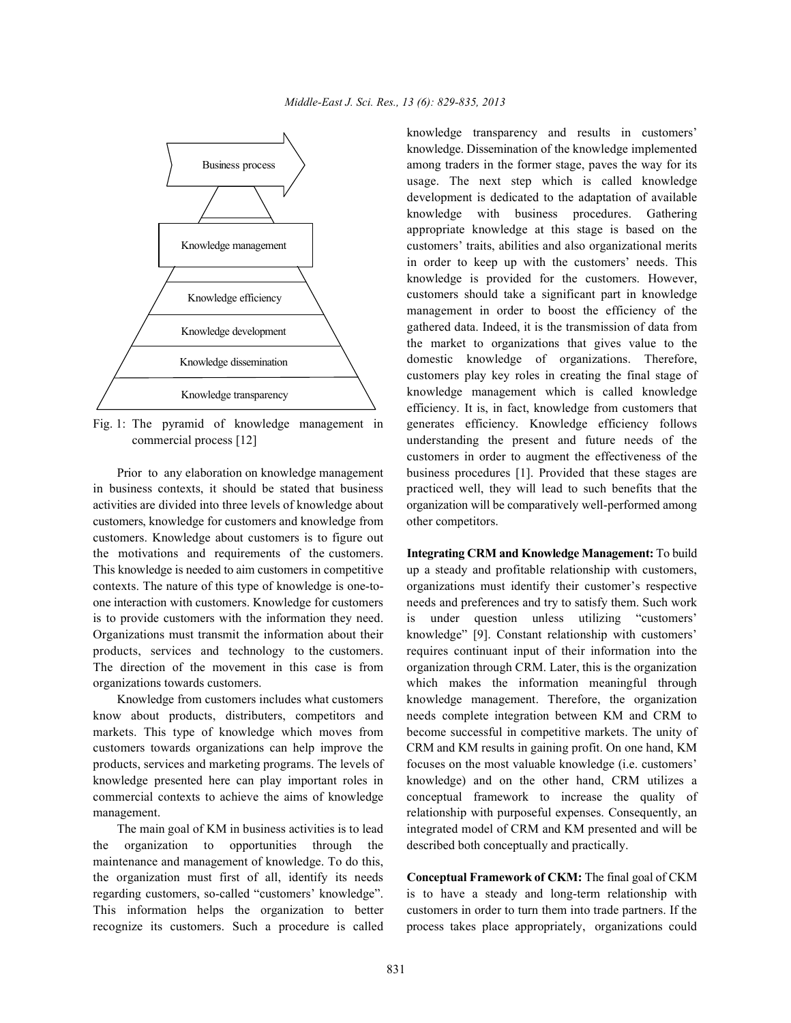

in business contexts, it should be stated that business practiced well, they will lead to such benefits that the activities are divided into three levels of knowledge about organization will be comparatively well-performed among customers, knowledge for customers and knowledge from other competitors. customers. Knowledge about customers is to figure out the motivations and requirements of the customers. **Integrating CRM and Knowledge Management:** To build This knowledge is needed to aim customers in competitive up a steady and profitable relationship with customers, contexts. The nature of this type of knowledge is one-to- organizations must identify their customer's respective one interaction with customers. Knowledge for customers needs and preferences and try to satisfy them. Such work is to provide customers with the information they need. is under question unless utilizing "customers' Organizations must transmit the information about their knowledge" [9]. Constant relationship with customers' products, services and technology to the customers. requires continuant input of their information into the The direction of the movement in this case is from organization through CRM. Later, this is the organization organizations towards customers. which makes the information meaningful through

know about products, distributers, competitors and needs complete integration between KM and CRM to markets. This type of knowledge which moves from become successful in competitive markets. The unity of customers towards organizations can help improve the CRM and KM results in gaining profit. On one hand, KM products, services and marketing programs. The levels of focuses on the most valuable knowledge (i.e. customers' knowledge presented here can play important roles in knowledge) and on the other hand, CRM utilizes a commercial contexts to achieve the aims of knowledge conceptual framework to increase the quality of management. The management of the management of the management of the management of the management of the management of the management of the management of the management of the management of the management of the manageme

the organization to opportunities through the described both conceptually and practically. maintenance and management of knowledge. To do this, the organization must first of all, identify its needs **Conceptual Framework of CKM:** The final goal of CKM regarding customers, so-called "customers' knowledge". is to have a steady and long-term relationship with This information helps the organization to better customers in order to turn them into trade partners. If the recognize its customers. Such a procedure is called process takes place appropriately, organizations could

Fig. 1: The pyramid of knowledge management in generates efficiency. Knowledge efficiency follows commercial process [12] understanding the present and future needs of the Prior to any elaboration on knowledge management business procedures [1]. Provided that these stages are knowledge transparency and results in customers' knowledge. Dissemination of the knowledge implemented among traders in the former stage, paves the way for its usage. The next step which is called knowledge development is dedicated to the adaptation of available knowledge with business procedures. Gathering appropriate knowledge at this stage is based on the customers' traits, abilities and also organizational merits in order to keep up with the customers' needs. This knowledge is provided for the customers. However, customers should take a significant part in knowledge management in order to boost the efficiency of the gathered data. Indeed, it is the transmission of data from the market to organizations that gives value to the domestic knowledge of organizations. Therefore, customers play key roles in creating the final stage of knowledge management which is called knowledge efficiency. It is, in fact, knowledge from customers that customers in order to augment the effectiveness of the

Knowledge from customers includes what customers knowledge management. Therefore, the organization The main goal of KM in business activities is to lead integrated model of CRM and KM presented and will be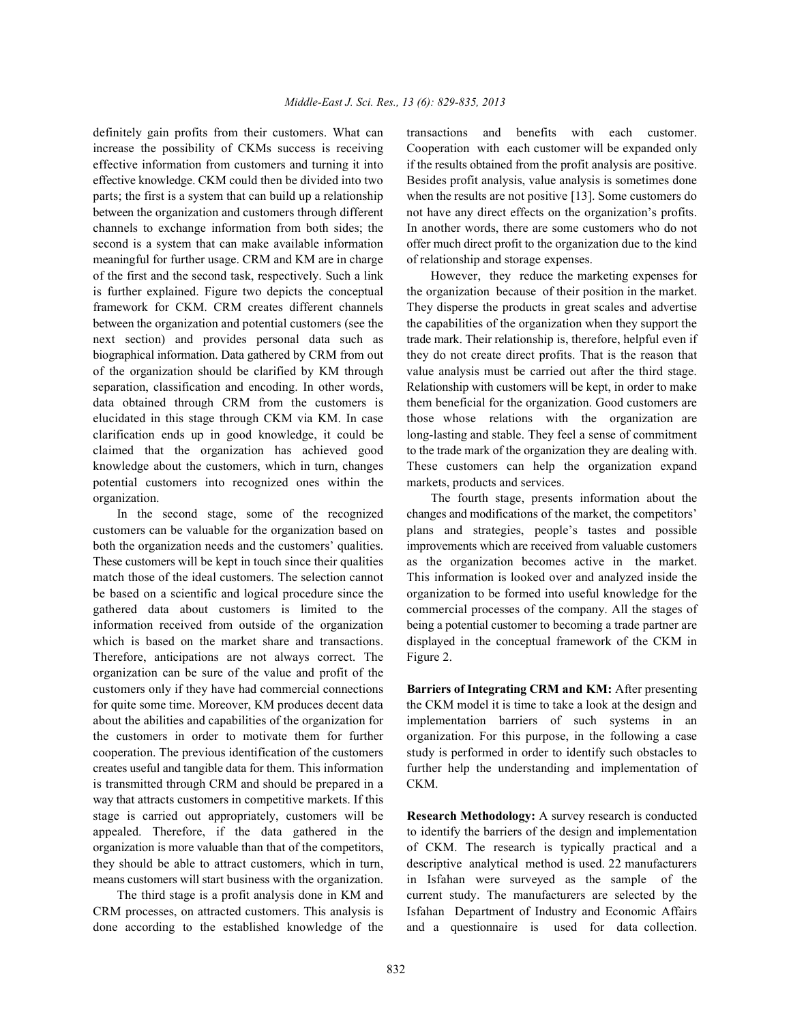increase the possibility of CKMs success is receiving Cooperation with each customer will be expanded only effective information from customers and turning it into if the results obtained from the profit analysis are positive. effective knowledge. CKM could then be divided into two Besides profit analysis, value analysis is sometimes done parts; the first is a system that can build up a relationship when the results are not positive [13]. Some customers do between the organization and customers through different not have any direct effects on the organization's profits. channels to exchange information from both sides; the In another words, there are some customers who do not second is a system that can make available information offer much direct profit to the organization due to the kind meaningful for further usage. CRM and KM are in charge of relationship and storage expenses. of the first and the second task, respectively. Such a link However, they reduce the marketing expenses for is further explained. Figure two depicts the conceptual the organization because of their position in the market. framework for CKM. CRM creates different channels They disperse the products in great scales and advertise between the organization and potential customers (see the the capabilities of the organization when they support the next section) and provides personal data such as trade mark. Their relationship is, therefore, helpful even if biographical information. Data gathered by CRM from out they do not create direct profits. That is the reason that of the organization should be clarified by KM through value analysis must be carried out after the third stage. separation, classification and encoding. In other words, Relationship with customers will be kept, in order to make data obtained through CRM from the customers is them beneficial for the organization. Good customers are elucidated in this stage through CKM via KM. In case those whose relations with the organization are clarification ends up in good knowledge, it could be long-lasting and stable. They feel a sense of commitment claimed that the organization has achieved good to the trade mark of the organization they are dealing with. knowledge about the customers, which in turn, changes These customers can help the organization expand potential customers into recognized ones within the markets, products and services.

customers can be valuable for the organization based on plans and strategies, people's tastes and possible both the organization needs and the customers' qualities. improvements which are received from valuable customers These customers will be kept in touch since their qualities as the organization becomes active in the market. match those of the ideal customers. The selection cannot This information is looked over and analyzed inside the be based on a scientific and logical procedure since the organization to be formed into useful knowledge for the gathered data about customers is limited to the commercial processes of the company. All the stages of information received from outside of the organization being a potential customer to becoming a trade partner are which is based on the market share and transactions. displayed in the conceptual framework of the CKM in Therefore, anticipations are not always correct. The Figure 2. organization can be sure of the value and profit of the customers only if they have had commercial connections **Barriers of Integrating CRM and KM:** After presenting for quite some time. Moreover, KM produces decent data the CKM model it is time to take a look at the design and about the abilities and capabilities of the organization for implementation barriers of such systems in an the customers in order to motivate them for further organization. For this purpose, in the following a case cooperation. The previous identification of the customers study is performed in order to identify such obstacles to creates useful and tangible data for them. This information further help the understanding and implementation of is transmitted through CRM and should be prepared in a CKM. way that attracts customers in competitive markets. If this stage is carried out appropriately, customers will be **Research Methodology:** A survey research is conducted appealed. Therefore, if the data gathered in the to identify the barriers of the design and implementation organization is more valuable than that of the competitors, of CKM. The research is typically practical and a they should be able to attract customers, which in turn, descriptive analytical method is used. 22 manufacturers means customers will start business with the organization. in Isfahan were surveyed as the sample of the

CRM processes, on attracted customers. This analysis is Isfahan Department of Industry and Economic Affairs done according to the established knowledge of the and a questionnaire is used for data collection.

definitely gain profits from their customers. What can transactions and benefits with each customer.

organization. The fourth stage, presents information about the In the second stage, some of the recognized changes and modifications of the market, the competitors'

The third stage is a profit analysis done in KM and current study. The manufacturers are selected by the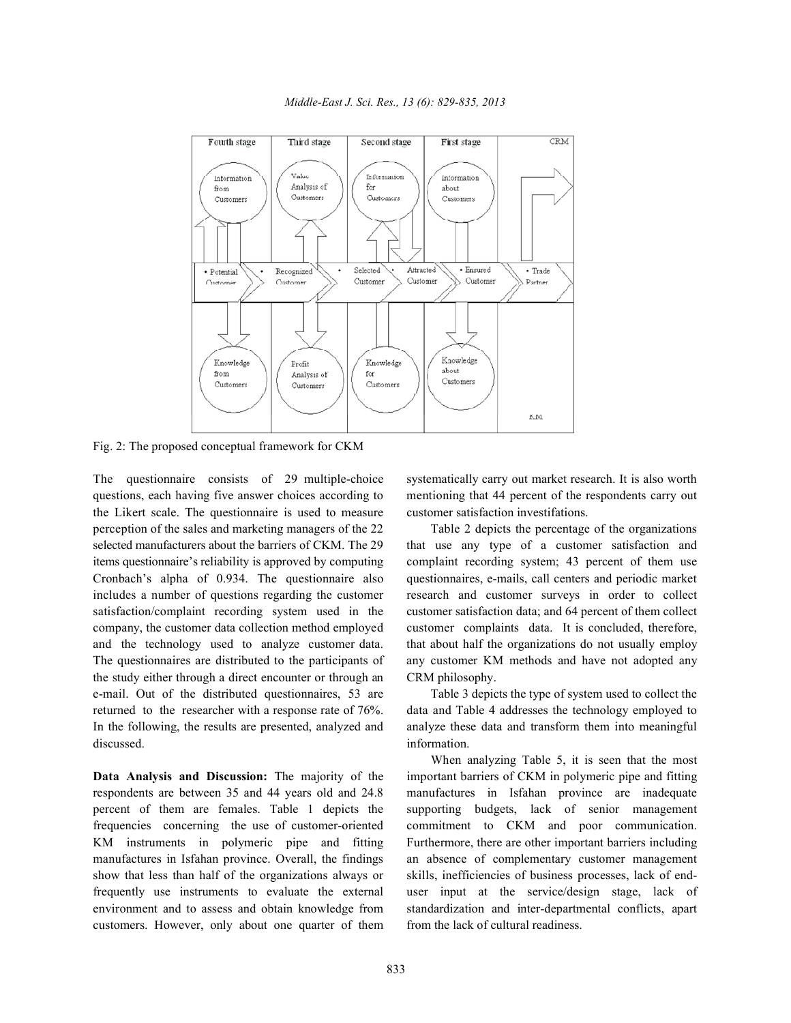

Fig. 2: The proposed conceptual framework for CKM

questions, each having five answer choices according to mentioning that 44 percent of the respondents carry out the Likert scale. The questionnaire is used to measure customer satisfaction investifations. perception of the sales and marketing managers of the 22 Table 2 depicts the percentage of the organizations selected manufacturers about the barriers of CKM. The 29 that use any type of a customer satisfaction and items questionnaire's reliability is approved by computing complaint recording system; 43 percent of them use Cronbach's alpha of 0.934. The questionnaire also questionnaires, e-mails, call centers and periodic market includes a number of questions regarding the customer research and customer surveys in order to collect satisfaction/complaint recording system used in the customer satisfaction data; and 64 percent of them collect company, the customer data collection method employed customer complaints data. It is concluded, therefore, and the technology used to analyze customer data. that about half the organizations do not usually employ The questionnaires are distributed to the participants of any customer KM methods and have not adopted any the study either through a direct encounter or through an CRM philosophy. e-mail. Out of the distributed questionnaires, 53 are Table 3 depicts the type of system used to collect the returned to the researcher with a response rate of 76%. data and Table 4 addresses the technology employed to In the following, the results are presented, analyzed and analyze these data and transform them into meaningful discussed. information.

respondents are between 35 and 44 years old and 24.8 manufactures in Isfahan province are inadequate percent of them are females. Table 1 depicts the supporting budgets, lack of senior management frequencies concerning the use of customer-oriented commitment to CKM and poor communication. KM instruments in polymeric pipe and fitting Furthermore, there are other important barriers including manufactures in Isfahan province. Overall, the findings an absence of complementary customer management show that less than half of the organizations always or skills, inefficiencies of business processes, lack of endfrequently use instruments to evaluate the external user input at the service/design stage, lack of environment and to assess and obtain knowledge from standardization and inter-departmental conflicts, apart customers. However, only about one quarter of them from the lack of cultural readiness.

The questionnaire consists of 29 multiple-choice systematically carry out market research. It is also worth

**Data Analysis and Discussion:** The majority of the important barriers of CKM in polymeric pipe and fitting When analyzing Table 5, it is seen that the most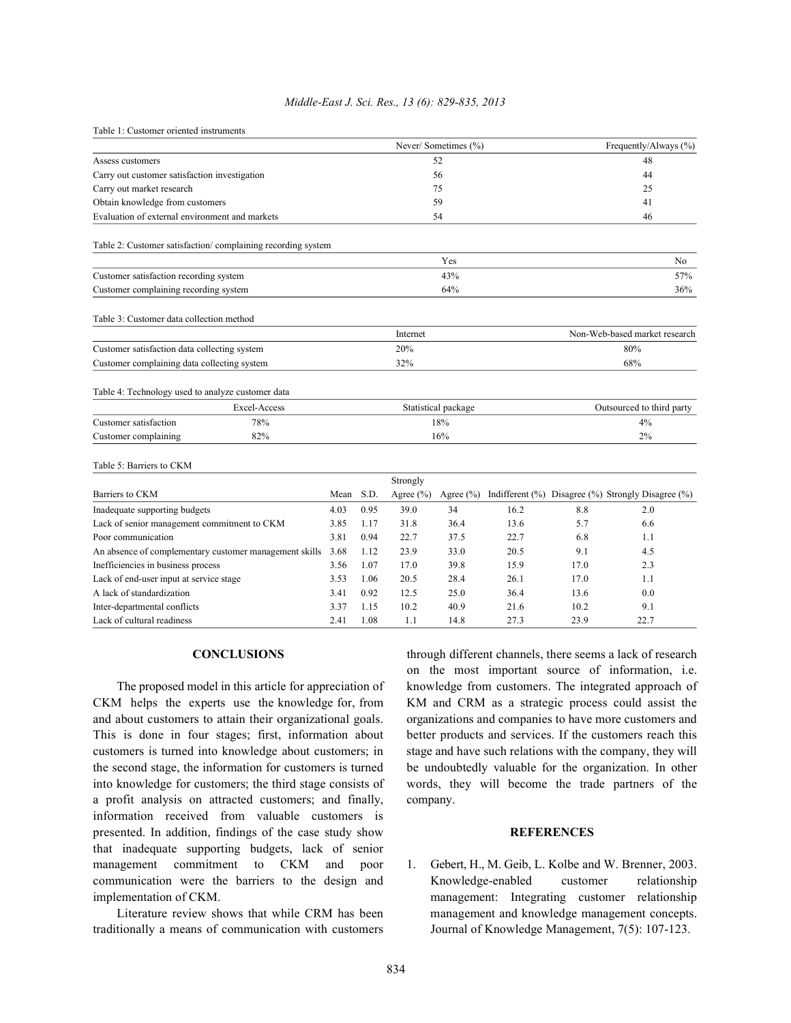## *Middle-East J. Sci. Res., 13 (6): 829-835, 2013*

| Table 1: Customer oriented instruments |  |  |  |  |
|----------------------------------------|--|--|--|--|
|----------------------------------------|--|--|--|--|

|                                                             |      |                     |               | Never/Sometimes (%) |      |      | Frequently/Always (%)                              |  |  |
|-------------------------------------------------------------|------|---------------------|---------------|---------------------|------|------|----------------------------------------------------|--|--|
| Assess customers                                            |      | 52                  |               |                     |      |      | 48                                                 |  |  |
| Carry out customer satisfaction investigation               |      | 56                  |               |                     |      |      | 44                                                 |  |  |
| Carry out market research                                   |      |                     |               | 75                  |      |      | 25                                                 |  |  |
| Obtain knowledge from customers                             |      |                     |               | 59                  |      |      | 41                                                 |  |  |
| Evaluation of external environment and markets              |      | 54                  |               |                     |      | 46   |                                                    |  |  |
| Table 2: Customer satisfaction/complaining recording system |      |                     |               |                     |      |      |                                                    |  |  |
|                                                             |      |                     |               | Yes                 |      |      | No                                                 |  |  |
| Customer satisfaction recording system                      |      |                     | 43%           |                     |      |      | 57%                                                |  |  |
| Customer complaining recording system                       |      | 64%                 |               |                     |      |      | 36%                                                |  |  |
| Table 3: Customer data collection method                    |      |                     |               |                     |      |      |                                                    |  |  |
|                                                             |      |                     | Internet      |                     |      |      | Non-Web-based market research                      |  |  |
| Customer satisfaction data collecting system                |      | 20%                 |               |                     | 80%  |      |                                                    |  |  |
| Customer complaining data collecting system                 |      | 32%                 |               |                     |      |      | 68%                                                |  |  |
| Table 4: Technology used to analyze customer data           |      |                     |               |                     |      |      |                                                    |  |  |
| Excel-Access                                                |      | Statistical package |               |                     |      |      | Outsourced to third party                          |  |  |
| 78%<br>Customer satisfaction                                |      | 18%                 |               |                     |      | 4%   |                                                    |  |  |
| Customer complaining<br>82%                                 |      | 16%                 |               |                     |      |      | 2%                                                 |  |  |
| Table 5: Barriers to CKM                                    |      |                     |               |                     |      |      |                                                    |  |  |
|                                                             |      |                     | Strongly      |                     |      |      |                                                    |  |  |
| Barriers to CKM                                             | Mean | S.D.                | Agree $(\% )$ | Agree $(\% )$       |      |      | Indifferent (%) Disagree (%) Strongly Disagree (%) |  |  |
| Inadequate supporting budgets                               | 4.03 | 0.95                | 39.0          | 34                  | 16.2 | 8.8  | 2.0                                                |  |  |
| Lack of senior management commitment to CKM                 |      | 1.17                | 31.8          | 36.4                | 13.6 | 5.7  | 6.6                                                |  |  |
| Poor communication                                          |      | 0.94                | 22.7          | 37.5                | 22.7 | 6.8  | 1.1                                                |  |  |
| An absence of complementary customer management skills      |      | 1.12                | 23.9          | 33.0                | 20.5 | 9.1  | 4.5                                                |  |  |
| Inefficiencies in business process                          |      | 1.07                | 17.0          | 39.8                | 15.9 | 17.0 | 2.3                                                |  |  |
| Lack of end-user input at service stage                     |      | 1.06                | 20.5          | 28.4                | 26.1 | 17.0 | 1.1                                                |  |  |
| A lack of standardization                                   |      | 0.92                | 12.5          | 25.0                | 36.4 | 13.6 | 0.0                                                |  |  |
| Inter-departmental conflicts                                |      | 1.15                | 10.2          | 40.9                | 21.6 | 10.2 | 9.1                                                |  |  |
| Lack of cultural readiness                                  | 2.41 | 1.08                | 1.1           | 14.8                | 27.3 | 23.9 | 22.7                                               |  |  |

CKM helps the experts use the knowledge for, from KM and CRM as a strategic process could assist the and about customers to attain their organizational goals. organizations and companies to have more customers and This is done in four stages; first, information about better products and services. If the customers reach this customers is turned into knowledge about customers; in stage and have such relations with the company, they will the second stage, the information for customers is turned be undoubtedly valuable for the organization. In other into knowledge for customers; the third stage consists of words, they will become the trade partners of the a profit analysis on attracted customers; and finally, company. information received from valuable customers is presented. In addition, findings of the case study show **REFERENCES** that inadequate supporting budgets, lack of senior management commitment to CKM and poor 1. Gebert, H., M. Geib, L. Kolbe and W. Brenner, 2003. communication were the barriers to the design and Knowledge-enabled customer relationship implementation of CKM. management: Integrating customer relationship

traditionally a means of communication with customers Journal of Knowledge Management, 7(5): 107-123.

**CONCLUSIONS** through different channels, there seems a lack of research The proposed model in this article for appreciation of knowledge from customers. The integrated approach of on the most important source of information, i.e.

Literature review shows that while CRM has been management and knowledge management concepts.